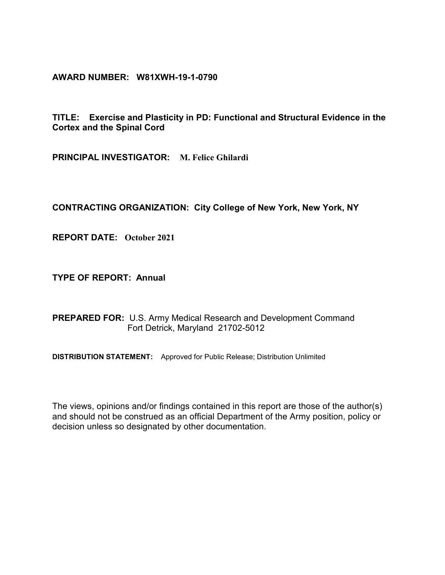**AWARD NUMBER: W81XWH-19-1-0790**

**TITLE: Exercise and Plasticity in PD: Functional and Structural Evidence in the Cortex and the Spinal Cord**

**PRINCIPAL INVESTIGATOR: M. Felice Ghilardi**

**CONTRACTING ORGANIZATION: City College of New York, New York, NY**

**REPORT DATE: October 2021**

**TYPE OF REPORT: Annual** 

**PREPARED FOR:** U.S. Army Medical Research and Development Command Fort Detrick, Maryland 21702-5012

**DISTRIBUTION STATEMENT:** Approved for Public Release; Distribution Unlimited

The views, opinions and/or findings contained in this report are those of the author(s) and should not be construed as an official Department of the Army position, policy or decision unless so designated by other documentation.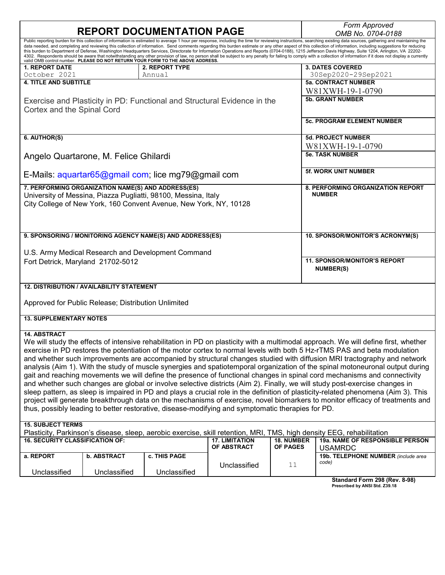|                                                                                                                                                                                                                                                                                                                                                                                                                                                                                                                                                                                                                                                                                                                                                                                                                                                                                                                                                                 |                    | <b>REPORT DOCUMENTATION PAGE</b>                                         |                       |                 | <b>Form Approved</b>                |  |  |  |  |
|-----------------------------------------------------------------------------------------------------------------------------------------------------------------------------------------------------------------------------------------------------------------------------------------------------------------------------------------------------------------------------------------------------------------------------------------------------------------------------------------------------------------------------------------------------------------------------------------------------------------------------------------------------------------------------------------------------------------------------------------------------------------------------------------------------------------------------------------------------------------------------------------------------------------------------------------------------------------|--------------------|--------------------------------------------------------------------------|-----------------------|-----------------|-------------------------------------|--|--|--|--|
|                                                                                                                                                                                                                                                                                                                                                                                                                                                                                                                                                                                                                                                                                                                                                                                                                                                                                                                                                                 |                    |                                                                          |                       |                 | OMB No. 0704-0188                   |  |  |  |  |
| Public reporting burden for this collection of information is estimated to average 1 hour per response, including the time for reviewing instructions, searching existing data sources, gathering and maintaining the<br>data needed, and completing and reviewing this collection of information. Send comments regarding this burden estimate or any other aspect of this collection of information, including suggestions for reducing<br>this burden to Department of Defense, Washington Headquarters Services, Directorate for Information Operations and Reports (0704-0188), 1215 Jefferson Davis Highway, Suite 1204, Arlington, VA 22202-<br>4302. Respondents should be aware that notwithstanding any other provision of law, no person shall be subject to any penalty for failing to comply with a collection of information if it does not display a currently<br>valid OMB control number. PLEASE DO NOT RETURN YOUR FORM TO THE ABOVE ADDRESS. |                    |                                                                          |                       |                 |                                     |  |  |  |  |
| <b>1. REPORT DATE</b>                                                                                                                                                                                                                                                                                                                                                                                                                                                                                                                                                                                                                                                                                                                                                                                                                                                                                                                                           |                    | <b>2. REPORT TYPE</b>                                                    |                       |                 | <b>3. DATES COVERED</b>             |  |  |  |  |
| October 2021                                                                                                                                                                                                                                                                                                                                                                                                                                                                                                                                                                                                                                                                                                                                                                                                                                                                                                                                                    |                    | Annual                                                                   |                       |                 | 30Sep2020-29Sep2021                 |  |  |  |  |
| <b>4. TITLE AND SUBTITLE</b>                                                                                                                                                                                                                                                                                                                                                                                                                                                                                                                                                                                                                                                                                                                                                                                                                                                                                                                                    |                    |                                                                          |                       |                 | <b>5a. CONTRACT NUMBER</b>          |  |  |  |  |
|                                                                                                                                                                                                                                                                                                                                                                                                                                                                                                                                                                                                                                                                                                                                                                                                                                                                                                                                                                 |                    |                                                                          |                       |                 | W81XWH-19-1-0790                    |  |  |  |  |
| Cortex and the Spinal Cord                                                                                                                                                                                                                                                                                                                                                                                                                                                                                                                                                                                                                                                                                                                                                                                                                                                                                                                                      |                    | Exercise and Plasticity in PD: Functional and Structural Evidence in the |                       |                 | <b>5b. GRANT NUMBER</b>             |  |  |  |  |
|                                                                                                                                                                                                                                                                                                                                                                                                                                                                                                                                                                                                                                                                                                                                                                                                                                                                                                                                                                 |                    |                                                                          |                       |                 | <b>5c. PROGRAM ELEMENT NUMBER</b>   |  |  |  |  |
| 6. AUTHOR(S)                                                                                                                                                                                                                                                                                                                                                                                                                                                                                                                                                                                                                                                                                                                                                                                                                                                                                                                                                    |                    |                                                                          |                       |                 | <b>5d. PROJECT NUMBER</b>           |  |  |  |  |
|                                                                                                                                                                                                                                                                                                                                                                                                                                                                                                                                                                                                                                                                                                                                                                                                                                                                                                                                                                 |                    |                                                                          |                       |                 | W81XWH-19-1-0790                    |  |  |  |  |
|                                                                                                                                                                                                                                                                                                                                                                                                                                                                                                                                                                                                                                                                                                                                                                                                                                                                                                                                                                 |                    |                                                                          |                       |                 | <b>5e. TASK NUMBER</b>              |  |  |  |  |
| Angelo Quartarone, M. Felice Ghilardi                                                                                                                                                                                                                                                                                                                                                                                                                                                                                                                                                                                                                                                                                                                                                                                                                                                                                                                           |                    |                                                                          |                       |                 |                                     |  |  |  |  |
|                                                                                                                                                                                                                                                                                                                                                                                                                                                                                                                                                                                                                                                                                                                                                                                                                                                                                                                                                                 |                    | E-Mails: aquartar65@gmail com; lice mg79@gmail com                       |                       |                 | <b>5f. WORK UNIT NUMBER</b>         |  |  |  |  |
| 7. PERFORMING ORGANIZATION NAME(S) AND ADDRESS(ES)                                                                                                                                                                                                                                                                                                                                                                                                                                                                                                                                                                                                                                                                                                                                                                                                                                                                                                              |                    |                                                                          |                       |                 | 8. PERFORMING ORGANIZATION REPORT   |  |  |  |  |
|                                                                                                                                                                                                                                                                                                                                                                                                                                                                                                                                                                                                                                                                                                                                                                                                                                                                                                                                                                 |                    | University of Messina, Piazza Pugliatti, 98100, Messina, Italy           |                       |                 | <b>NUMBER</b>                       |  |  |  |  |
|                                                                                                                                                                                                                                                                                                                                                                                                                                                                                                                                                                                                                                                                                                                                                                                                                                                                                                                                                                 |                    | City College of New York, 160 Convent Avenue, New York, NY, 10128        |                       |                 |                                     |  |  |  |  |
|                                                                                                                                                                                                                                                                                                                                                                                                                                                                                                                                                                                                                                                                                                                                                                                                                                                                                                                                                                 |                    |                                                                          |                       |                 |                                     |  |  |  |  |
|                                                                                                                                                                                                                                                                                                                                                                                                                                                                                                                                                                                                                                                                                                                                                                                                                                                                                                                                                                 |                    |                                                                          |                       |                 |                                     |  |  |  |  |
|                                                                                                                                                                                                                                                                                                                                                                                                                                                                                                                                                                                                                                                                                                                                                                                                                                                                                                                                                                 |                    |                                                                          |                       |                 |                                     |  |  |  |  |
|                                                                                                                                                                                                                                                                                                                                                                                                                                                                                                                                                                                                                                                                                                                                                                                                                                                                                                                                                                 |                    | 9. SPONSORING / MONITORING AGENCY NAME(S) AND ADDRESS(ES)                |                       |                 | 10. SPONSOR/MONITOR'S ACRONYM(S)    |  |  |  |  |
|                                                                                                                                                                                                                                                                                                                                                                                                                                                                                                                                                                                                                                                                                                                                                                                                                                                                                                                                                                 |                    |                                                                          |                       |                 |                                     |  |  |  |  |
|                                                                                                                                                                                                                                                                                                                                                                                                                                                                                                                                                                                                                                                                                                                                                                                                                                                                                                                                                                 |                    | U.S. Army Medical Research and Development Command                       |                       |                 |                                     |  |  |  |  |
|                                                                                                                                                                                                                                                                                                                                                                                                                                                                                                                                                                                                                                                                                                                                                                                                                                                                                                                                                                 |                    |                                                                          |                       |                 | <b>11. SPONSOR/MONITOR'S REPORT</b> |  |  |  |  |
| Fort Detrick, Maryland 21702-5012                                                                                                                                                                                                                                                                                                                                                                                                                                                                                                                                                                                                                                                                                                                                                                                                                                                                                                                               |                    |                                                                          |                       |                 |                                     |  |  |  |  |
|                                                                                                                                                                                                                                                                                                                                                                                                                                                                                                                                                                                                                                                                                                                                                                                                                                                                                                                                                                 |                    |                                                                          |                       |                 | <b>NUMBER(S)</b>                    |  |  |  |  |
|                                                                                                                                                                                                                                                                                                                                                                                                                                                                                                                                                                                                                                                                                                                                                                                                                                                                                                                                                                 |                    |                                                                          |                       |                 |                                     |  |  |  |  |
| <b>12. DISTRIBUTION / AVAILABILITY STATEMENT</b>                                                                                                                                                                                                                                                                                                                                                                                                                                                                                                                                                                                                                                                                                                                                                                                                                                                                                                                |                    |                                                                          |                       |                 |                                     |  |  |  |  |
|                                                                                                                                                                                                                                                                                                                                                                                                                                                                                                                                                                                                                                                                                                                                                                                                                                                                                                                                                                 |                    |                                                                          |                       |                 |                                     |  |  |  |  |
| Approved for Public Release; Distribution Unlimited                                                                                                                                                                                                                                                                                                                                                                                                                                                                                                                                                                                                                                                                                                                                                                                                                                                                                                             |                    |                                                                          |                       |                 |                                     |  |  |  |  |
| <b>13. SUPPLEMENTARY NOTES</b>                                                                                                                                                                                                                                                                                                                                                                                                                                                                                                                                                                                                                                                                                                                                                                                                                                                                                                                                  |                    |                                                                          |                       |                 |                                     |  |  |  |  |
|                                                                                                                                                                                                                                                                                                                                                                                                                                                                                                                                                                                                                                                                                                                                                                                                                                                                                                                                                                 |                    |                                                                          |                       |                 |                                     |  |  |  |  |
| <b>14. ABSTRACT</b>                                                                                                                                                                                                                                                                                                                                                                                                                                                                                                                                                                                                                                                                                                                                                                                                                                                                                                                                             |                    |                                                                          |                       |                 |                                     |  |  |  |  |
| We will study the effects of intensive rehabilitation in PD on plasticity with a multimodal approach. We will define first, whether                                                                                                                                                                                                                                                                                                                                                                                                                                                                                                                                                                                                                                                                                                                                                                                                                             |                    |                                                                          |                       |                 |                                     |  |  |  |  |
| exercise in PD restores the potentiation of the motor cortex to normal levels with both 5 Hz-rTMS PAS and beta modulation                                                                                                                                                                                                                                                                                                                                                                                                                                                                                                                                                                                                                                                                                                                                                                                                                                       |                    |                                                                          |                       |                 |                                     |  |  |  |  |
| and whether such improvements are accompanied by structural changes studied with diffusion MRI tractography and network                                                                                                                                                                                                                                                                                                                                                                                                                                                                                                                                                                                                                                                                                                                                                                                                                                         |                    |                                                                          |                       |                 |                                     |  |  |  |  |
| analysis (Aim 1). With the study of muscle synergies and spatiotemporal organization of the spinal motoneuronal output during                                                                                                                                                                                                                                                                                                                                                                                                                                                                                                                                                                                                                                                                                                                                                                                                                                   |                    |                                                                          |                       |                 |                                     |  |  |  |  |
| gait and reaching movements we will define the presence of functional changes in spinal cord mechanisms and connectivity                                                                                                                                                                                                                                                                                                                                                                                                                                                                                                                                                                                                                                                                                                                                                                                                                                        |                    |                                                                          |                       |                 |                                     |  |  |  |  |
| and whether such changes are global or involve selective districts (Aim 2). Finally, we will study post-exercise changes in                                                                                                                                                                                                                                                                                                                                                                                                                                                                                                                                                                                                                                                                                                                                                                                                                                     |                    |                                                                          |                       |                 |                                     |  |  |  |  |
| sleep pattern, as sleep is impaired in PD and plays a crucial role in the definition of plasticity-related phenomena (Aim 3). This                                                                                                                                                                                                                                                                                                                                                                                                                                                                                                                                                                                                                                                                                                                                                                                                                              |                    |                                                                          |                       |                 |                                     |  |  |  |  |
| project will generate breakthrough data on the mechanisms of exercise, novel biomarkers to monitor efficacy of treatments and                                                                                                                                                                                                                                                                                                                                                                                                                                                                                                                                                                                                                                                                                                                                                                                                                                   |                    |                                                                          |                       |                 |                                     |  |  |  |  |
| thus, possibly leading to better restorative, disease-modifying and symptomatic therapies for PD.                                                                                                                                                                                                                                                                                                                                                                                                                                                                                                                                                                                                                                                                                                                                                                                                                                                               |                    |                                                                          |                       |                 |                                     |  |  |  |  |
|                                                                                                                                                                                                                                                                                                                                                                                                                                                                                                                                                                                                                                                                                                                                                                                                                                                                                                                                                                 |                    |                                                                          |                       |                 |                                     |  |  |  |  |
| <b>15. SUBJECT TERMS</b>                                                                                                                                                                                                                                                                                                                                                                                                                                                                                                                                                                                                                                                                                                                                                                                                                                                                                                                                        |                    |                                                                          |                       |                 |                                     |  |  |  |  |
| Plasticity, Parkinson's disease, sleep, aerobic exercise, skill retention, MRI, TMS, high density EEG, rehabilitation                                                                                                                                                                                                                                                                                                                                                                                                                                                                                                                                                                                                                                                                                                                                                                                                                                           |                    |                                                                          |                       |                 |                                     |  |  |  |  |
| <b>16. SECURITY CLASSIFICATION OF:</b>                                                                                                                                                                                                                                                                                                                                                                                                                                                                                                                                                                                                                                                                                                                                                                                                                                                                                                                          |                    |                                                                          | <b>17. LIMITATION</b> | 18. NUMBER      | 19a. NAME OF RESPONSIBLE PERSON     |  |  |  |  |
|                                                                                                                                                                                                                                                                                                                                                                                                                                                                                                                                                                                                                                                                                                                                                                                                                                                                                                                                                                 |                    |                                                                          | OF ABSTRACT           | <b>OF PAGES</b> | <b>USAMRDC</b>                      |  |  |  |  |
| a. REPORT                                                                                                                                                                                                                                                                                                                                                                                                                                                                                                                                                                                                                                                                                                                                                                                                                                                                                                                                                       | <b>b. ABSTRACT</b> | c. THIS PAGE                                                             |                       |                 | 19b. TELEPHONE NUMBER (include area |  |  |  |  |
|                                                                                                                                                                                                                                                                                                                                                                                                                                                                                                                                                                                                                                                                                                                                                                                                                                                                                                                                                                 |                    |                                                                          | Unclassified          | 11              | code)                               |  |  |  |  |
| Unclassified                                                                                                                                                                                                                                                                                                                                                                                                                                                                                                                                                                                                                                                                                                                                                                                                                                                                                                                                                    | Unclassified       | Unclassified                                                             |                       |                 |                                     |  |  |  |  |

| Standard Form 298 (Rev. 8-98)  |  |  |
|--------------------------------|--|--|
| Prescribed by ANSI Std. Z39.18 |  |  |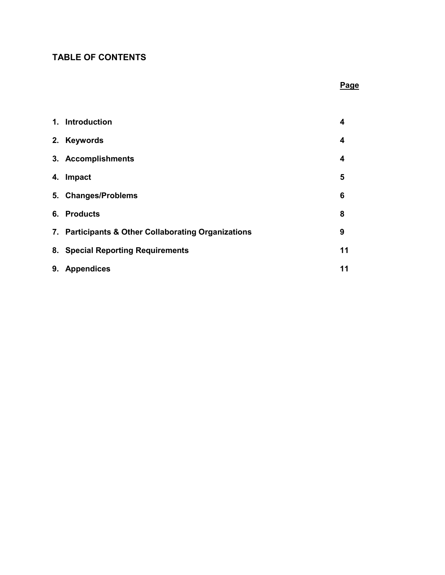## **TABLE OF CONTENTS**

## **Page**

|    | 1. Introduction                                     | 4  |
|----|-----------------------------------------------------|----|
| 2. | <b>Keywords</b>                                     | 4  |
|    | 3. Accomplishments                                  | 4  |
| 4. | <b>Impact</b>                                       | 5  |
|    | 5. Changes/Problems                                 | 6  |
|    | 6. Products                                         | 8  |
|    | 7. Participants & Other Collaborating Organizations | 9  |
|    | 8. Special Reporting Requirements                   | 11 |
| 9. | <b>Appendices</b>                                   | 11 |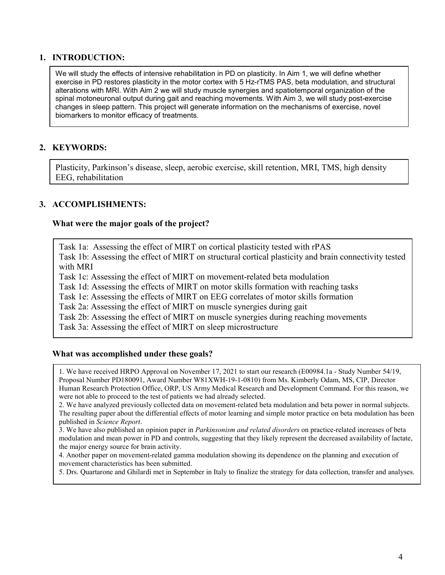### **1. INTRODUCTION:**

We will study the effects of intensive rehabilitation in PD on plasticity. In Aim 1, we will define whether exercise in PD restores plasticity in the motor cortex with 5 Hz-rTMS PAS, beta modulation, and structural alterations with MRI. With Aim 2 we will study muscle synergies and spatiotemporal organization of the spinal motoneuronal output during gait and reaching movements. With Aim 3, we will study post-exercise changes in sleep pattern. This project will generate information on the mechanisms of exercise, novel biomarkers to monitor efficacy of treatments.

### **2. KEYWORDS:**

Plasticity, Parkinson's disease, sleep, aerobic exercise, skill retention, MRI, TMS, high density EEG, rehabilitation

#### **3. ACCOMPLISHMENTS:**

#### **What were the major goals of the project?**

Task 1a: Assessing the effect of MIRT on cortical plasticity tested with rPAS

Task 1b: Assessing the effect of MIRT on structural cortical plasticity and brain connectivity tested with MRI

Task 1c: Assessing the effect of MIRT on movement-related beta modulation

Task 1d: Assessing the effects of MIRT on motor skills formation with reaching tasks

Task 1e: Assessing the effects of MIRT on EEG correlates of motor skills formation

Task 2a: Assessing the effect of MIRT on muscle synergies during gait

Task 2b: Assessing the effect of MIRT on muscle synergies during reaching movements

Task 3a: Assessing the effect of MIRT on sleep microstructure

#### **What was accomplished under these goals?**

1. We have received HRPO Approval on November 17, 2021 to start our research (E00984.1a - Study Number 54/19, Proposal Number PD180091, Award Number W81XWH-19-1-0810) from Ms. Kimberly Odam, MS, CIP, Director Human Research Protection Office, ORP, US Army Medical Research and Development Command. For this reason, we were not able to proceed to the test of patients we had already selected.

2. We have analyzed previously collected data on movement-related beta modulation and beta power in normal subjects. The resulting paper about the differential effects of motor learning and simple motor practice on beta modulation has been published in *Science Report*.

3. We have also published an opinion paper in *Parkinsonism and related disorders* on practice-related increases of beta modulation and mean power in PD and controls, suggesting that they likely represent the decreased availability of lactate, the major energy source for brain activity.

4. Another paper on movement-related gamma modulation showing its dependence on the planning and execution of movement characteristics has been submitted.

5. Drs. Quartarone and Ghilardi met in September in Italy to finalize the strategy for data collection, transfer and analyses.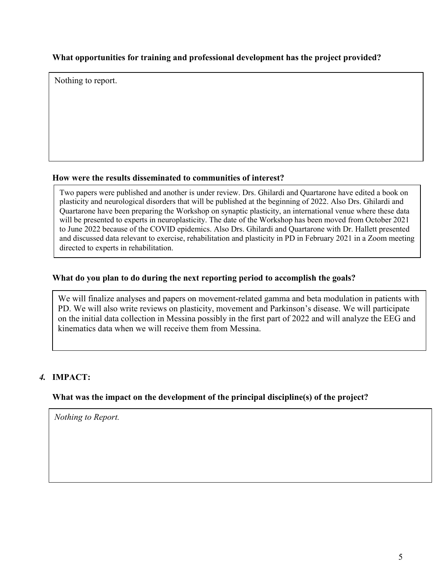### **What opportunities for training and professional development has the project provided?**

Nothing to report.

### **How were the results disseminated to communities of interest?**

Two papers were published and another is under review. Drs. Ghilardi and Quartarone have edited a book on plasticity and neurological disorders that will be published at the beginning of 2022. Also Drs. Ghilardi and Quartarone have been preparing the Workshop on synaptic plasticity, an international venue where these data will be presented to experts in neuroplasticity. The date of the Workshop has been moved from October 2021 to June 2022 because of the COVID epidemics. Also Drs. Ghilardi and Quartarone with Dr. Hallett presented and discussed data relevant to exercise, rehabilitation and plasticity in PD in February 2021 in a Zoom meeting directed to experts in rehabilitation.

### **What do you plan to do during the next reporting period to accomplish the goals?**

We will finalize analyses and papers on movement-related gamma and beta modulation in patients with PD. We will also write reviews on plasticity, movement and Parkinson's disease. We will participate on the initial data collection in Messina possibly in the first part of 2022 and will analyze the EEG and kinematics data when we will receive them from Messina.

## *4.* **IMPACT:**

### **What was the impact on the development of the principal discipline(s) of the project?**

*Nothing to Report.*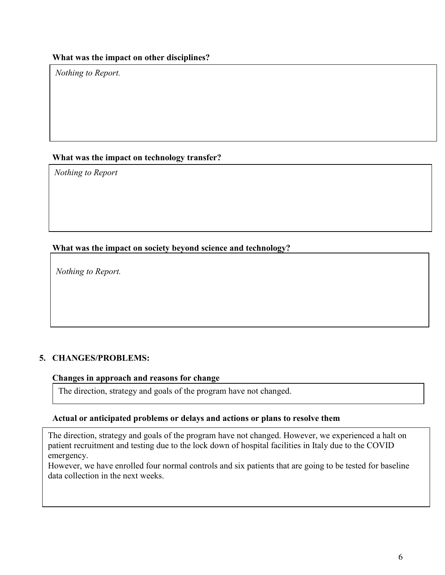#### **What was the impact on other disciplines?**

*Nothing to Report.*

### **What was the impact on technology transfer?**

*Nothing to Report*

### **What was the impact on society beyond science and technology?**

*Nothing to Report.*

### **5. CHANGES/PROBLEMS:**

#### **Changes in approach and reasons for change**

The direction, strategy and goals of the program have not changed.

#### **Actual or anticipated problems or delays and actions or plans to resolve them**

The direction, strategy and goals of the program have not changed. However, we experienced a halt on patient recruitment and testing due to the lock down of hospital facilities in Italy due to the COVID emergency.

However, we have enrolled four normal controls and six patients that are going to be tested for baseline data collection in the next weeks.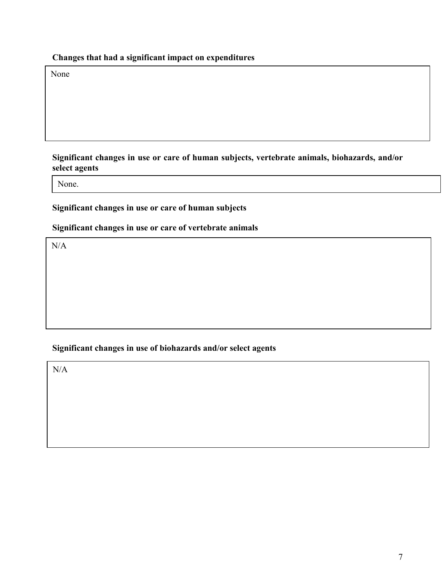## **Changes that had a significant impact on expenditures**

None

### **Significant changes in use or care of human subjects, vertebrate animals, biohazards, and/or select agents**

None.

### **Significant changes in use or care of human subjects**

### **Significant changes in use or care of vertebrate animals**

 $N/A$ 

### **Significant changes in use of biohazards and/or select agents**

N/A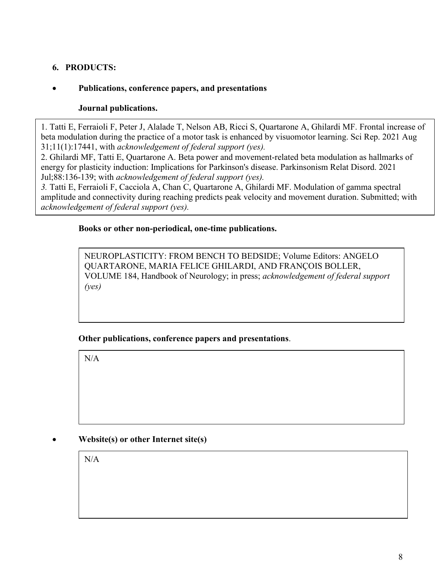## **6. PRODUCTS:**

### • **Publications, conference papers, and presentations**

### **Journal publications.**

1. Tatti E, Ferraioli F, Peter J, Alalade T, Nelson AB, Ricci S, Quartarone A, Ghilardi MF. Frontal increase of beta modulation during the practice of a motor task is enhanced by visuomotor learning. Sci Rep. 2021 Aug 31;11(1):17441, with *acknowledgement of federal support (yes).*

2. Ghilardi MF, Tatti E, Quartarone A. Beta power and movement-related beta modulation as hallmarks of energy for plasticity induction: Implications for Parkinson's disease. Parkinsonism Relat Disord. 2021 Jul;88:136-139; with *acknowledgement of federal support (yes).*

*3.* Tatti E, Ferraioli F, Cacciola A, Chan C, Quartarone A, Ghilardi MF. Modulation of gamma spectral amplitude and connectivity during reaching predicts peak velocity and movement duration. Submitted; with *acknowledgement of federal support (yes).*

#### **Books or other non-periodical, one-time publications.**

NEUROPLASTICITY: FROM BENCH TO BEDSIDE; Volume Editors: ANGELO QUARTARONE, MARIA FELICE GHILARDI, AND FRANÇOIS BOLLER, VOLUME 184, Handbook of Neurology; in press; *acknowledgement of federal support (yes)*

### **Other publications, conference papers and presentations**.

N/A

### • **Website(s) or other Internet site(s)**

N/A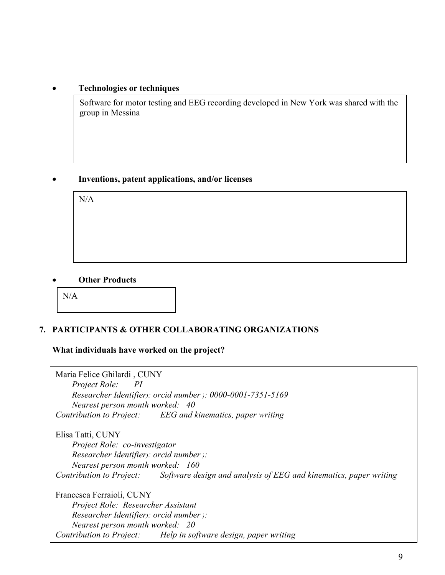#### • **Technologies or techniques**

Software for motor testing and EEG recording developed in New York was shared with the group in Messina

### • **Inventions, patent applications, and/or licenses**

N/A

#### • **Other Products**



### **7. PARTICIPANTS & OTHER COLLABORATING ORGANIZATIONS**

#### **What individuals have worked on the project?**

Maria Felice Ghilardi , CUNY *Project Role: PI Researcher Identifier): orcid number ): 0000-0001-7351-5169 Nearest person month worked: 40 Contribution to Project: EEG and kinematics, paper writing*  Elisa Tatti, CUNY *Project Role: co-investigator Researcher Identifier): orcid number ): Nearest person month worked: 160 Contribution to Project: Software design and analysis of EEG and kinematics, paper writing*  Francesca Ferraioli, CUNY *Project Role: Researcher Assistant Researcher Identifier): orcid number ): Nearest person month worked: 20 Contribution to Project: Help in software design, paper writing*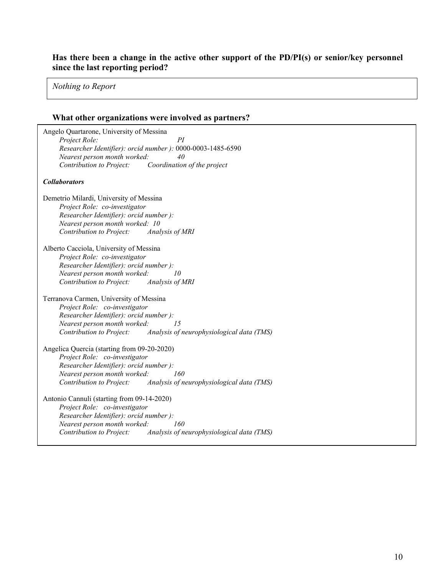#### **Has there been a change in the active other support of the PD/PI(s) or senior/key personnel since the last reporting period?**

*Nothing to Report*

# **What other organizations were involved as partners?**

| Angelo Quartarone, University of Messina<br>Project Role:<br>PI<br>Researcher Identifier): orcid number ): 0000-0003-1485-6590<br>Nearest person month worked:<br>40<br>Contribution to Project:<br>Coordination of the project        |
|----------------------------------------------------------------------------------------------------------------------------------------------------------------------------------------------------------------------------------------|
| <b>Collaborators</b>                                                                                                                                                                                                                   |
| Demetrio Milardi, University of Messina<br>Project Role: co-investigator<br>Researcher Identifier): orcid number):<br>Nearest person month worked: 10<br>Contribution to Project:<br>Analysis of MRI                                   |
| Alberto Cacciola, University of Messina<br>Project Role: co-investigator<br>Researcher Identifier): orcid number):<br>Nearest person month worked:<br>10<br>Contribution to Project:<br>Analysis of MRI                                |
| Terranova Carmen, University of Messina<br>Project Role: co-investigator<br>Researcher Identifier): orcid number):<br>Nearest person month worked:<br>1.5<br>Contribution to Project:<br>Analysis of neurophysiological data (TMS)     |
| Angelica Quercia (starting from 09-20-2020)<br>Project Role: co-investigator<br>Researcher Identifier): orcid number):<br>Nearest person month worked:<br>160<br>Contribution to Project:<br>Analysis of neurophysiological data (TMS) |
| Antonio Cannuli (starting from 09-14-2020)<br>Project Role: co-investigator<br>Researcher Identifier): orcid number):<br>Nearest person month worked:<br>160<br>Contribution to Project:<br>Analysis of neurophysiological data (TMS)  |